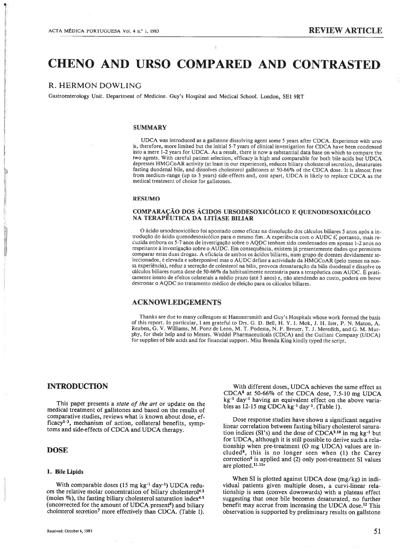# CHENO AND URSO COMPARED AND CONTRASTED

# R. HERMON DOWLING

Gastroenterology Unit. Department of Medicine. Guy's Hospital and Medical School. London, SEi 9RT

#### **SUMMARY**

UDCA was introduced as <sup>a</sup> gallstone dissolving agent some 5 years after COCA. Experience with urso is, therefore, more limited but the initial 5-7 years of clinical investigation for CDCA have been condensed into <sup>a</sup> mere 1-2 years for UDCA. As <sup>a</sup> result, there is now <sup>a</sup> substantial data base on which to compare the two agents. With careful patient selection, efficacy is high and comparable for both bile acids but UDCA depresses HMGCoAR activity (at least in our experience), reduces biliary cholesterol secretion, desaturates fasting duodenal bile, and dissolves cholesterol galistones at 50-66% of the CDCA dose. It is almost free from medium-range (up to <sup>3</sup> years) side-effects and, cost apart, UDCA is likely to replace CDCA as the medical treatment of choice for gallstones.

# RESUMO

# COMPARAÇÃO DOS ÁCIDOS URSODESOXICÓLICO <sup>E</sup> QUENODESOXICÓLICO NA TERAPEUTICA DA LITÍASE BILIAR

O ácido ursodesoxicólico foi apontado como eficaz na dissolução dos cálculos biliares 5 anos após <sup>a</sup> in trodução do ácido quenodesoxicólico para <sup>o</sup> mesmo fim. <sup>A</sup> experiência com <sup>o</sup> AUDC é, portanto, mais re duzida embora os 5-7 anos de investigação sobre <sup>o</sup> AQDC tenham sido condensados em apenas 1-2 anos no respeitante à investigação sobre <sup>o</sup> AUDC. Em consequência, existem já presentemente dados que permitem comparar estas duas drogas. <sup>A</sup> eficácia de ambos os ácidos biliares, num grupo de doentes devidamente se leccionados, é elevada <sup>e</sup> sobreponível mas <sup>o</sup> AUDC define <sup>a</sup> actividade da HMGCoAR (pelo menos na nos sa experiência), reduz <sup>a</sup> secreção de colesterol na bílis, provoca dessaturação da bilis duodenal <sup>e</sup> dissolve os cálculos biliares numa dose de 50-66% da habitualmente necessária para <sup>a</sup> terapêutica com AUDC. <sup>E</sup> prati camente isento de efeitos colaterais <sup>a</sup> médio prazo (até <sup>3</sup> anos) e, não atendendo ao custo, poderá em breve destronar <sup>o</sup> AQDC no tratamento médico de eleição para os cálculos biliares.

# ACKNOWLEDGEMENTS

Thanks are due to many colleagues at Hammersmith and Guy's Hospitals whose work formed the basis of this report. In particular, <sup>1</sup> am grateful to Drs. G. D. BelI, H. Y. 1. Mok, J. H. Iser, P. N. Maton, A. Reuben, G. V. Williams, M. Ponz de Leon, M. T. Podesta, N. F. Breuer, T. J. Meredith, and G. M. Mur phy, for their help and to Messrs. Weddel Pharmaceuticals (CDCA) and the Guiliani Company (UDCA) for supplies of bile acids and for financial support. Miss Brenda King kindly typed the script.

# INTRODUCTION

This paper presents a *state of the art* or update on the medical treatment of gallstones and based on the results of comparative studies, reviews what is known about dose, ef ficacy<sup>1-3</sup>, mechanism of action, collateral benefits, symptoms and side-effects of CDCA and UDCA therapy.

# **DOSE**

#### 1. BileLipids

With comparable doses  $(15 \text{ mg kg}^{-1} \text{ day}^{-1})$  UDCA reduces the relative molar concentration of biliary cholesterol<sup>4.5</sup> (moles  $\%$ ), the fasting biliary cholesterol saturation index<sup>4.5</sup> (uncorrected for the amount of UDCA present $6$ ) and biliary cholesterol secretion7 more effectively than CDCA. (Table 1).

With different doses, UDCA achieves the same effect as CDCA8 at 50-66% of the CDCA dose, 7.5-10 mg UDCA kg<sup>-1</sup> day<sup>-1</sup> having an equivalent effect on the above variables as  $12-15$  mg CDCA kg<sup>-1</sup> day<sup>-1</sup>. (Table 1).

Dose response studies have shown <sup>a</sup> significant negative linear correlation between fasting biliary cholesterol satura tion indices (SI's) and the dose of  $CDCA<sup>9.10</sup>$  in mg kg<sup>-1</sup> but for UDCA, although it is still possible to derive such <sup>a</sup> rela tionship when pre-treatment (O mg UDCA) values are in cluded<sup>8</sup>, this is no longer seen when (1) the Carey  $correction<sup>6</sup>$  is applied and (2) only post-treatment SI values are plotted.<sup>11.114</sup>

When SI is plotted against UDCA dose (mg/kg) in indi vidual patients given multiple doses, <sup>a</sup> curvi-linear rela tionship is seen (convex downwards) with <sup>a</sup> plateau effect suggesting that once bile becomes desaturated, no further benefit may accrue from increasing the UDCA dose.12 This observation is supported by preliminary results on galistone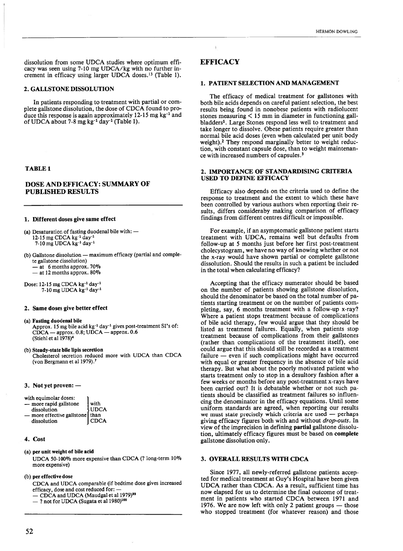dissolution from some UDCA studies where optimum effi cacy was seen using 7-10 mg UDCA/kg with no further in crement in efficacy using larger UDCA doses.13 (Table 1).

# 2. GALLSTONE DISSOLUTION

In patients responding to treatment with partial or com plete galistone dissolution, the dose of CDCA found to pro duce this response is again approximately  $12-15$  mg kg<sup>-1</sup> and of UDCA about 7-8 mg kg<sup>-1</sup> day<sup>-1</sup> (Table 1).

#### TABLE 1

# DOSE AND EFFICACY: SUMMARY OF PUBLISHED RESULTS

#### 1. Different doses give same effect

- (a) Desaturation of fasting duodenal bile with: 12-15 mg CDCA kg<sup>-1</sup> day<sup>-1</sup>  $7-10$  mg UDCA  $\text{kg}^{-1}$  day<sup>-1</sup>
- (b) Gallstone dissolution maximum efficacy (partial and comple te galistone dissolution)

 $-$  at 6 months approx. 70%

 $-$  at 12 months approx. 80%

Dose: 12-15 mg CDCA kg<sup>-1</sup> day<sup>-1</sup> 7-10 mg UDCA kg-1 day-1

#### 2. Same doses give better effect

- 
- (a) Fasting duodenal bile<br>Approx. 15 mg bile acid kg<sup>-1</sup> day<sup>-1</sup> gives post-treatment SI's of: CDCA — approx. 0.8; UDCA — approx. 0.6<br>(Stiehl et al 1978)<sup>4</sup>

(b) Steady-state bile lipis secretion<br>Cholesterol secretion reduced more with UDCA than CDCA (von Bergmann et al 1979).<sup>7</sup>

#### 3. Not yet proven: —

| with equimolar doses:           |             |
|---------------------------------|-------------|
| - more rapid gallstone          | l with      |
| dissolution                     | <b>UDCA</b> |
| more effective gallstone   than |             |
| dissolution                     | <b>CDCA</b> |

#### 4. Cost

### (a) per unit weight of bile acid

UDCA 50-100% more expensive than CDCA (? long-term 10% more expensive)

#### (b) per effective dose

CDCA and UDCA comparable (if bedtime dose gives increased efficacy, dose and cost reduced for: —

- CDCA and UDCA (Maudgal et al 1979)<sup>99</sup>
- ? not for UDCA (Sugata et ai 1980)100

# **EFFICACY**

#### 1. PATIENT SELECTION AND MANAGEMENT

The efficacy of medical treatment for galistones with both bile acids depends on careful patient selection, the best results being found in nonobese patients with radiolucent stones measuring <sup>&</sup>lt; <sup>15</sup> mm in diameter in functioning gali bladders<sup>1</sup>. Large Stones respond less well to treatment and take longer to dissolve. Obese patients require greater than normal bile acid doses (even when calculated per unit body weight).<sup>2</sup> They respond marginally better to weight reduction, with constant capsule dose, than to weight maintenan ce with increased numbers of capsules.<sup>3</sup>

#### 2. IMPORTANCE OF STANDARDISING CRITERIA USED TO DEFINE EFFICACY

Efficacy also depends on the criteria used to define the response to treatment and the extent to which these have been controlled by various authors when reporting their re sults, differs consideraby making comparison of efficacy findings from different centres difficult or impossible.

For example, if an asymptomatic galistone patient starts treatment with UDCA, remains well but defaults from follow-up at 5 months just before her first post-treatment cholecystogram, we have no way of knowing whether or not the x-ray would have shown partial or complete galistone dissolution. Should the results in such <sup>a</sup> patient be included in the total when calculating efficacy?

Accepting that the efficacy numerator should be based on the number of patients showing galistone dissolution, should the denominator be based on the total number of pa tients starting treatment or on the number of patients com pleting, say, 6 months treatment with <sup>a</sup> follow-up x-ray? Where <sup>a</sup> patient stops treatment because of complications of bile acid therapy, few would argue that they should be listed as treatment failures. Equally, when patients stop treatment because of complications from their gallstones (rather than complications of the treatment itself), one could argue that this should still be recorded as <sup>a</sup> treatment failure — even if such complications might have occurred with equal or greater frequency in the absence of bile acid therapy. But what about the poorly motivated patient who starts treatment only to stop in <sup>a</sup> desultory fashion after <sup>a</sup> few weeks or months before any post-treatment x-rays have been carried out? It is debatable whether or not such pa tients should be classified as treatment failures so influencing the denominator in the efficacy equations. Until some uniform standards are agreed, when reporting our results we must state precisely which criteria are used — perhaps giving efficacy figures both with and without drop-outs. In view of the imprecision in defining partial galistone dissolu tion, ultimately efficacy figures must be based on complete galistone dissolution only.

# 3. OVERALL RESULTS WITH CDCA

Since 1977, ali newly-referred gallstone patients accep ted for medical treatment at Guy's Hospital have been given UDCA rather than CDCA. As <sup>a</sup> result, sufficient time has now elapsed for us to determine the final outcome of treat ment in patients who started CDCA between 1971 and 1976. We are now left with only 2 patient groups — those who stopped treatment (for whatever reason) and those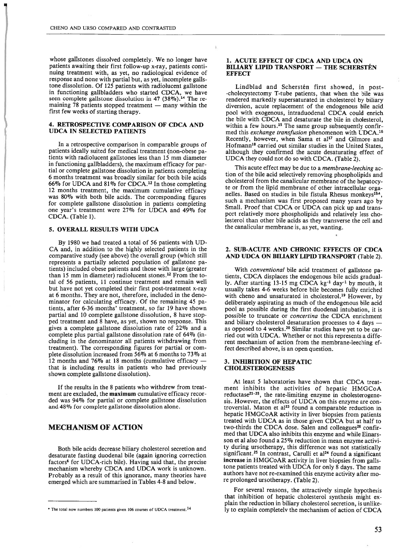whose gallstones dissolved completely. We no longer have patients awaiting their first follow-up x-ray, patients conti nuing treatment with, as yet, no radiological evidence of response and none with partial but, as yet, incomplete gallstone dissolution. Of 125 patients with radiolucent gallstone in functioning gallbladders who started CDCA, we have seen complete gallstone dissolution in 47 (38%).<sup>14</sup> The remaining 78 patients stopped treatment — many within the first few weeks of starting therapy.

#### 4. RETROSPECTIVE COMPARISON OF CDCA AND UDCA IN SELECTED PATIENTS

In <sup>a</sup> retrospective comparison in comparable groups of patients ideally suited for medical treatment (non-obese pa tients with radiolucent galistones less than <sup>15</sup> mm diameter in functioning gallbladders), the maximum efficacy for par tial or complete galistone dissolution in patients completing 6 months treatment was broadly similar for both bile acids 66% for UDCA and 81% for CDCA.12 In those completing 12 months treatment, the maximum cumulative efficacy was 80% with both bile acids. The corresponding figures for complete galistone dissolution in patients completing one year's treatment were 27% for UDCA and 49% for CDCA. (Tabie 1).

# 5. OVERALL RESULTS WITH UDCA

By 1980 we had treated <sup>a</sup> total of 56 patients with UD CA and, in addition to the highly selected patients in the comparative study (see above) the overali group (which still represents <sup>a</sup> partially selected population of galistone pa tients) included obese patients and those with large (greater than 15 mm in diameter) radiolucent stones.<sup>12</sup> From the total of 56 patients, 11 continue treatment and remain well but have not yet completed their first post-treatment x-ray at 6 months. They are not, therefore, included in the deno minator for calculating efficacy. Of the remaining 45 pa tients, after 6-36 months' treatment, so far 19 have shown partial and 10 complete gallstone dissolution, 8 have stop ped treatment and 8 have, as yet, shown no response. This gives <sup>a</sup> complete gallstone dissolution rate of 22% and <sup>a</sup> complete plus partial galistone dissolution rate of 64% (in cluding in the denominator all patients withdrawing 'from treatment). The corresponding figures for partial or com plete dissolution increased from 56% at <sup>6</sup> months to 73% at <sup>12</sup> months and 76% at <sup>18</sup> months (cumulative efficacy that is including results in patients who had previously shown complete galistone dissolution).

If the results in the <sup>8</sup> patients who withdrew from treat ment are excluded, the maximum cumulative efficacy recor ded was 94% for partial or complete gallstone dissolution and 48% for complete gallstone dissolution alone.

# MECHANISM OF ACTION

Both bile acids decrease biliary cholesterol secretion and desaturate fasting duodenal bile (again ignoring correction factors<sup>6</sup> for UDCA-rich bile). Having said that, the precise mechanism whereby CDCA and UDCA work is unknown. Probably as <sup>a</sup> result of this ignorance, many theories have emerged which are sumrnarised in Tables 4-8 and below.

#### 1. ACUTE EFFECT OF CDCA AND UDCA ON BILIARY LIPID TRANSPORT — THE SCHERSTÉN **EFFECT**

Lindblad and Scherstén first showed, in post -cholecystectomy T-tube patients, that when the bile was rendered markedly supersaturated in cholesterol by biliary diversion, acute replacement of the endogenous bile acid pool with exogenous, intraduodenal CDCA could enrich the bile with CDCA and desaturate the bile in cholesterol, within a few hours.<sup>15</sup> The same group subsequently confirmed this exchange transfusion phenomenon with UDCA.<sup>16</sup> Recently, however, when Sama et al<sup>17</sup> and Gilmore and Hofmann18 carried out similar studies in the United States, although they confirmed the acute desaturating effect of UDCA they could not do so with CDCA. (Table 2).

This acute effect may be due to a membrane-leeching action of the bile acid selectively removing phospholipids and cholesterol from the canalicular membrane of the hepatocy te or from the lipid membrane of other intracellular orga nelles. Based on studies in bile fistula Rhesus monkeys<sup>194</sup>, such a mechanism was first proposed many years ago by Small. Proof that CDCA or UDCA can pick up and transport relatively more phospholipids and relatively iess cho lesterol than other bile acids as they transverse the celi and the canalicular membrane is, as yet, wanting.

#### 2. SUB-ACUTE AND CHRONIC EFFECTS OF CDCA AND UDCA ON BILIARYLIPIDTRANSPORT (Table 2).

With conventional bile acid treatment of gallstone patients, CDCA displaces the endogenous bile acids gradual ly. After starting 13-15 mg CDCA kg<sup>-1</sup> day<sup>-1</sup> by mouth, it usually takes 4-6 weeks before bile becomes fully enriched with cheno and unsaturated in cholesterol.<sup>19</sup> However, by deliberateiy aspirating as much of the endogenous bile acid pool as possible during the first duodenal intubation, it is possible to truncate or *concertina* the CDCA enrichment and biliary cholesterol desaturation processes to 4 days as opposed to 4 weeks.2° Similar studies have yet to be car ried out with UDCA. Whether or not this represents <sup>a</sup> diffe rent mechanism of action from the membrane-leeching effect described above, is an open question.

#### 3. INHIBITION OF HEPATIC CHOLESTEROGENESIS

At least 5 laboratories have shown that CDCA treat ment inhibits the activities of hepatic HMGCoA reductase $^{21-25}$ , the rate-limiting enzyme in cholesterogenesis. However, the effects of UDCA on this enzyme are con troversial. Maton et a123 found <sup>a</sup> comparable reduction in hepatic HMGCoAR activity in liver biopsies from patients treated with UDCA as in those given CDCA but at half to two-thirds the CDCA dose. Salen and colleagues<sup>26</sup> confirmed that UDCA also inhibits this enzyrne and while Einars son et al also found a 25% reduction in mean enzyme activity during ursotherapy, this difference was not statistically significant.<sup>25</sup> In contrast, Carulli et al<sup>24</sup> found a significant increase in HMGCoAR activity in liver biopsies from galis tone patients treated with UDCA for only 8 days. The same authors have not re-examined this enzyme activity after mo re prolonged ursotherapy. (Table 2).

For several reasons, the attractiveiy simple hypothesis that inhibition of hepatic cholesterol synthesis might ex plain the reduction in biliary cholesterol secretion, is unlike ly to explain completelv the mechanism of action of CDCA

<sup>\*</sup> The total now numbers 100 patients given 106 courses of UDCA treatment.<sup>14</sup>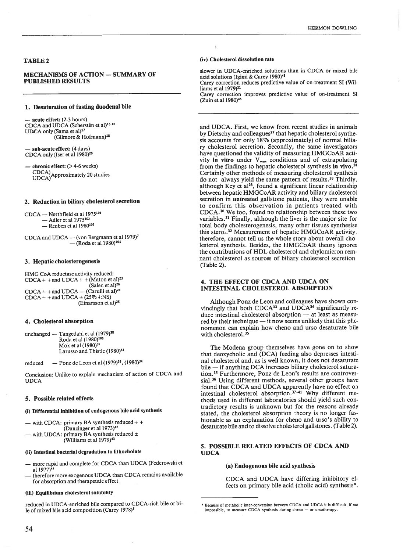#### TABLE 2

#### MECHÁNISMS OF ACTION — SUMMARY OF PUBLISHED RESULTS

### 1. Desaturation of fasting duodenal bile

— acute effect: (2-3 hours)<br>CDCA and UDCA (Scherstén et al)<sup>15.16</sup> UDCA only (Sama et al)<sup>17</sup> & Hofmann)18

— sub-acute effect: (4 days) CDCA only (Iser et al 1980)<sup>20</sup>

 $-$  chronic effect:  $(>4-6$  weeks) CDCA)<br>UDCA) Approximately 20 studies

#### 2. Reduction in biliary cholesterol secretion

CDCA — Northfield et al 1975<sup>101</sup> - Adler et al 1975<sup>102</sup>  $-$  Reuben et al  $1980^{103}$ 

CDCA and  $UDCA$  — (von Bergmann et al 1979)<sup>7</sup> — (Roda et al 1980)<sup>104</sup>

#### 3. Hepatic cholesterogenesis

HMG CoA reductase activity reduced:<br>CDCA + + and UDCA + + (Maton et al)<sup>23</sup> (Salen et al)<sup>26</sup>  $CDCA +$  + and  $UDCA -$  (Carulli et al)<sup>24</sup> CDCA + + and UDCA  $\pm$  (25%  $\sqrt{k}$ :NS)<br>(Einarsson et al)<sup>25</sup>

#### 4. Cholesterol absorption

unchanged — Tangedahl et al (1979)<sup>38</sup><br>Roda et al (1980)<sup>105</sup> Mok et al  $(1980)^{39}$ Larusso and Thistle (1980)<sup>41</sup>

reduced — Ponz de Leon et al  $(1979)^{33}$ ,  $(1980)^{34}$ 

Conclusion: Unlike to explain mecharism of action of CDCA and UDCA

#### 5. Possible reiated effects

#### (i) Differeutial inhibition of endogenous bile acid synthesis

— with CDCA: primary BA synthesis reduced + + (Danzinger et al  $1973$ )<sup>42</sup>

— with UDCA: primary BA synthesis reduced  $\pm$  (Williams et al 1979)<sup>43</sup>

#### (ii) Intestinal bacteriai degradation to Iithocholate

- more rapid and comp!ete for CDCA than UDCA (Federowski et al 1977)<sup>44</sup>
- therefore more exogenous UDCA than CDCA remains available for absorption and therapeutic effect

#### (iii) Equilibrium cholesterol solubility

reduced in UDCA-enriched bile compared to CDCA-rich bile or bile of mixed bile acid composition (Carey 1978)<sup>6</sup>

#### (iv) Cholesterol dissolution rate

slower in UDCA-enriched solutions than in CDCA or mixed bile acid solutions (Igimi & Carey 1980)48

Carey correction reduces predictive value of on-treatment SI (Wi! liams et al 1979)<sup>11</sup>

Carey correction improves predictive value of on-treatment SI (Zuin et al 1980)<sup>45</sup>

and UDCA. First, we know from recent studies in animals by Dietschy and colleagues<sup>27</sup> that hepatic cholesterol synthesis accounts for only 18% (approximately) of normal biliary cholesterol secretion. Secondly, the same investigators have questioned the validity of measuring HMGCoAR acti vity in vitro under  $V_{max}$  conditions and of extrapolating from the findings to hepatic cholesterol synthesis in vivo.28 Certainly other methods of measuring cholesterol synthesis do not always yield the same pattern of results.<sup>28</sup> Thirdly, although Key et al<sup>28</sup>, found a significant linear relationship between hepatic HMGCoAR activity and biliary cholesterol secretion in untreated gallstone patients, they were unable to confirm this observation in patients treated with CDCA.3° We too, found no relationship between these two variables.<sup>31</sup> Finally, although the liver is the major site for total body cholesterogenesis, many other tissues synthesise this steroi.32 Measurement of hepatic HMGCoAR activity, therefore, cannot tell us the whole story about overall cholesterol synthesis. Besides, the HMGCoAR theory ignores the contributions of HDL cholesterol and chylomicron remnant cholesterol as sources of biliary cholesterol secretion. (Tab!e 2).

#### 4. THE EFFECT OF CDCA AND UDCA ON INTESTINAL CHOLESTEROL ABSORPTION

Although Ponz de Leon and colleagues have shown convincingly that both  $CDCA<sup>33</sup>$  and  $UDCA<sup>34</sup>$  significantly reduce intestinal cholesterol absorption — at least as measured by their technique — it now seems unlikely that this phe nomenon can expiam how cheno and urso desaturate bile with cholesterol.<sup>35</sup>

The Modena group themselves have gone on to show that deoxycholic and (DCA) feeding also depresses intesti nal cholesterol and, as is well known, it does not desaturate bile — if anything DCA increases biliary cholesterol saturation.<sup>35</sup> Furthermore, Ponz de Leon's results are controversial.<sup>36</sup> Using different methods, several other groups have found that CDCA and UDCA apparently have no effect on intestinal cholesterol absorption.<sup>37-41</sup> Why different methods used in different laboratories should yield such contradictory results is unknown but for the reasons already stated, the cholesterol absorption theory is no longer fashionable as an explanation for cheno and urso's ability to desaturate bile and to dissolve cholesterol gallstones. (Table 2).

# 5. POSSIBLE RELATED EFFECTS OF CDCA AND UDCA

#### (a) Endogenous bile acid synthesis

CDCA and UDCA have differing inhibitory ef fects on primary bile acid (cholic acid) synthesis\*.

<sup>\*</sup> Because of metabolic inter-conversion between CDCA and UDCA it is difficult, if no impossible, to measure CDCA synthesis during cheno — or ursotherapy.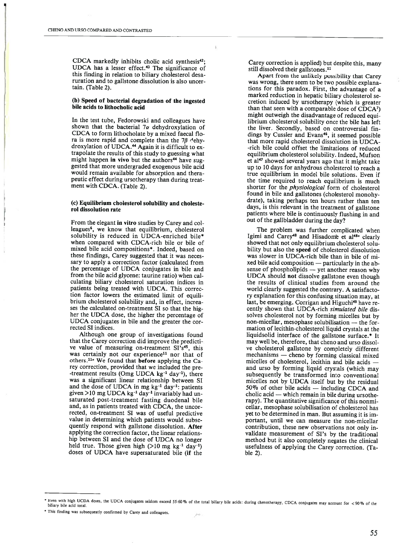CDCA markedly inhibits cholic acid synthesis<sup>42</sup>: UDCA has <sup>a</sup> lesser effect.43 The significance of this finding in relation to biliary cholesterol desa ruration and to galistone dissolution is also uncer tain. (Table 2).

#### (b) Speed of bacterial degradation of the ingested bile acids to Iithocholic acid

In the test tube, Fedorowski and coileagues have shown that the bacterial  $7\alpha$  dehydroxylation of CDCA to form iithocholate by <sup>a</sup> mixed faecai flo ra is more rapid and complete than the 7 $\beta$  <sup>d</sup>ehydroxylation of UDCA.44 Again it is difficult to ex trapolate the resuits of this study to guessing what might happen in vivo but the authors<sup>44</sup> have suggested that more undergraded exogenous bile acid would remain available for absorption and therapeutic effect during ursotherapy than during treat ment with CDCA. (Tabie 2).

#### (e) Equilibrium cholesterol solubility and choleste rol dissolution rate

From the elegant in vitro studies by Carey and col leagues<sup>6</sup>, we know that equilibrium, cholesterol solubility is reduced in UDCA-enriched bile\* when compared with CDCA-rich bile or bile of mixed bile acid compositions\*. Indeed, based on these findings, Carey suggested that it was neces sary to apply a correction factor (calculated from the percentage of UDCA conjugates in bile and from the bile acid giycene: taurine ratio) when cai culating biiiary cholesterol saturation indices in patients being treated with UDCA. This correc tion factor iowers the estimated limit of equili brium cholesterol solubility and, in effect, increa ses the calcuiated on-treatment SI so that the hig her the UDCA dose, the higher the percentage of UDCA conjugates in bile and the greater the cor rected SI indices.

Although one group of investigations found that the Carey correction did improve the predicti ve value of measuring on-treatment SI's<sup>45</sup>, this was certainly not our experience<sup>11</sup> nor that of others.<sup>11</sup> We found that before applying the Carey correction, provided that we included the pre -treatment results (Omg UDCA  $kg^{-1}$  day<sup>-1</sup>), there was <sup>a</sup> significant linear reiationship between SI and the dose of UDCA in mg  $kg^{-1}$  day<sup>-1</sup>: patients given  $>10$  mg UDCA kg<sup>-1</sup> day<sup>-1</sup> invariably had unsaturated post-treatment fasting duodenai bile and, as in patients treated with CDCA, the uncor rected, on-treatment SI was of usefui predictive value in determining which patients would subse quently respond with galistone dissolution. After applying the correction factor, the linear relations hip between SI and the dose of UDCA no longer held true. Those given high  $(>10 \text{ mg kg}^{-1} \text{ day}^{-1})$ doses of UDCA have supersaturated bile (if the

Carey correction is applied) but despite this, many still dissolved their gallstones.<sup>11</sup>

Apart from the unlikely possibility that Carey was wrong, there seem to be two possible explana tions for this paradox. First, the advantage of <sup>a</sup> marked reduction in hepatic biliary cholesterol se cretion induced by ursotherapy (which is greater than that seen with <sup>a</sup> comparable dose of CDCA7) might outweigh the disadvantage of reduced equi librium cholesterol solubility once the bile has left the liver. Secondly, based on controversial fin dings by Cussler and Evans<sup>46</sup>, it seemed possible that more rapid cholesterol dissolution in UDCA -rich bile couid offset the limitations of reduced equilibrium cholesterol solubility. Indeed, Mufson et al<sup>47</sup> showed several years ago that it might take up to 10 days for anhydrous cholesterol to reach <sup>a</sup> true equilibrium in model bile solutions. Even if the time required to reach equilibrium is much shorter for the *physiological* form of cholesterol found in bile and galistones (cholesterol monohy drate), taking perhaps ten hours rather than ten days, is this relevant in the treatment of gallstone patients where biie is continuously flushing in and out of the galibladder during the day?

The problem was further complicated when Igimi and Carey<sup>48</sup> and Hisadome et al<sup>48a</sup> clearly showed that not oniy equilibrium cholesterol solu bility but aiso the speed of cholesterol dissolution was siower in UDCA-rich bile than in bile of mi xed bile acid composition — particularly in the ab sense of phospholipids — yet another reason why UDCA shouid not dissolve galistone even though the results of ciinical studies from around the world cleariy suggested the contrary. A satisfacto ry expianation for this confusing situation may, at last, be emerging. Corrigan and Higuchi<sup>49</sup> have recently shown that UDCA-rich simulated bile dissolves cholesterol not by forming micelies but by non-miceliar, mesophase solubilisation — the for mation of lecithin-cholesterol liquid crystals at the liquidsolid interface of the gallstone surface.\* It may well be, therefore, that cheno and urso dissolve cholesteroi galistone by compietely different mechanisms — cheno by forming classicai mixed miceiles of choiesteroi, Iecithin and biie acids and urso by forming liquid crystais (which may subsequentiy be transformed into conventional micelles not by UDCA itself but by the residuai 50% of other bile acids — including CDCA and cholic acid — which remam in bile during ursothe rapy). The quantitative significance of this nonmi cellar, mesophase solubilisation of choiesterol has yet to be determined in man. But assuming it is im portant, untii we can measure the non-miceliar contribution, these new observations not only in validate measurement of SI's by the traditional method but it also completeiy negates the clinicai usefulness of applying the Carey correction. (Ta bie 2).

<sup>\*</sup> Even with high UCDA doses, the UDCA conjugates seldom exceed 55-60% of the total biliary bile acids: during chenotherapy, CDCA conjugates may account for  $\sim 90\%$ biliary bile acid total

<sup>\*</sup> This finding was subsequently confirmed by Carey and colleagues.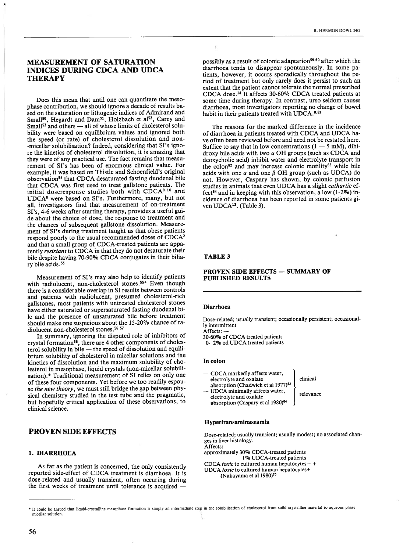# MEASUREMENT OF SATURATION INDICES DURING CDCA AND UDCA **THERAPY**

Does this mean that until one can quantitate the meso phase contribution, we should ignore <sup>a</sup> decade of resuits ba sed on the saturation or lithogenic indices of Admirand and Small<sup>50</sup>, Hegardt and Dam<sup>51</sup>, Holzbach et al<sup>52</sup>, Carey and Small<sup>53</sup> and others — all of whose limits of cholesterol solubiiity were based on equilibrium values and ignored both the speed (or rate) of cholesterol dissolution and non -micellar solubilisation? Indeed, considering that SI's ignore the kinetics of cholesterol dissolution, it is amazing that they were of any practicai use. The fact remains that measu rement of SI's has been of enormous clinicai vaiue. For example, it was based on Thistie and Schoenfield's original observation54 that CDCA desaturated fasting duodenai bile that CDCA was first used to treat gallstone patients. The initial doseresponse studies both with CDCA9.10 and UDCA° were based on SI's. Furthermore, many, but not ali, investigators find that measurement of on-treatment SI's, 4-6 weeks after starting therapy, provides <sup>a</sup> usefui gui de about the choice of dose, the response to treatment and the chances of subsequent galistone dissolution. Measure ment of SI's during treatment taught us that obese patients respond poorly to the usual recommended doses of CDCA2 and that <sup>a</sup> smali group of CDCA-treated patients are appa rentiy resistant to CDCA in that they do not desaturate their biie despite having 70-90% CDCA conjugates in their bilia ry bile acids.55

Measurement of SI's may also heip to identify patients with radiolucent, non-cholesterol stones.<sup>554</sup> Even though there is <sup>a</sup> considerabie overiap in SI resuits between controis and patients with radiolucent, presumed cholesterol-rich galistones, most patients with untreated choiesterol stones have either saturated or supersaturated fasting duodenai bi le and the presence of unsaturated bile before treatment should make one suspicious about the 15-20% chance of ra diolucent non-cholesterol stones.<sup>56.57</sup>

In summary, ignoring the disputed role of inhibitors of crystal formation58, there are 4 other components of choles teroi solubiiity in bile — the speed of dissolution and equili brium solubiiity of cholesteroi in micellar solutions and the kinetics of dissolution and the maximum solubility of cholesterol in mesophase, liquid crystals (non-micellar solubilisation).\* Traditional measurement of SI relies on only one of these four components. Yet before we too readily espou se the new theory, we must still bridge the gap between physical chemistry studied in the test tube and the pragmatic, but hopefully critical application of these observations, to clinicai science.

# PROVEN SIDE EFFECTS

#### 1. DIARRHOEA

As far as the patient is concerned, the only consistently reported side-effect of CDCA treatment is diarrhoea. It is dose-reiated and usualiy transient, often occuring during the first weeks of treatment until tolerance is acquired

possibly as a result of colonic adaptation-<sup>age a</sup>nter which the<br>diatriboa tends, to disappear apontaneously. In some parameters, the<br>correct, it occurs spontaneously. In some parameters and of criterism<br>the initial rate

#### PROVEN SIDE EFFECTS - SUMMARY OF PUBLISHED RESULTS

#### Diarrhoea

Dose-related; usually transient; occasionally persistent; occasional ly intermittent

Affects: —

30-60°/o of CDCA treated patients

O- 2°/o od UDCA treated patients

#### In colon

— CDCA markedly affects water, electrolyte and oxalate absorption (Chadwick et al 1977)<sup>62</sup> — UDCA minimaliy affects water, electrolyte and oxalate absorption (Caspary et al 1980)<sup>64</sup> cinicai relevance

#### Hypertransaminaseamia

Dose-related; usually transient; usually modest; no associated chan ges in liver histology. Affects:

approximately 30% CDCA-treated patients 1°/o UDCA-treated patients CDCA toxic to cultured human hepatocytes  $+$  + UDCA *toxic* to cultured human hepatocytes $\pm$  (Nakayama et al 1980)<sup>70</sup>

It could be argued that liquid-crystalline mcsophase formation is simply an intermediate step in the solubilisation of cholesterol from solid crystalline material lo aqucous phase miceilar solution.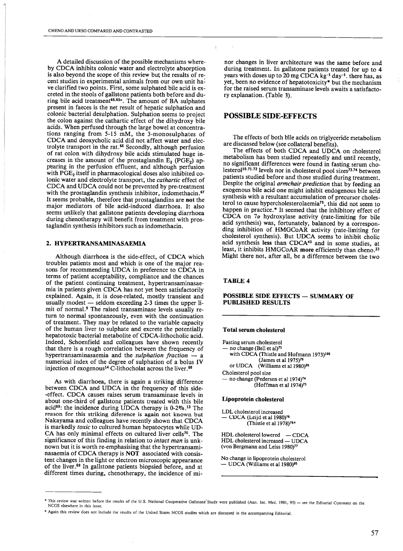A detailed discussion of the possible mechanisms whereby CDCA inhibits colonic water and eiectroiyte absorption is also beyond the scope of this review but the results of recent studies in experimental animals from our own unit ha ve clarified two points. First, some sulphated bile acid is ex creted in the stools of galistone patients both before and du ring bile acid treatment<sup>65.65 $\alpha$ </sup>. The amount of BA sulphates present in faeces is the net result of hepatic sulphation and colonic bacterial desulphation. Sulphation seems to project the colon against the cathartic effect of the dihydroxy bile acids. When perfused through the large bowel at concentra tions ranging from 5-15 mM, the 3-monosulphates of CDCA and deoxycholic acid did not affect water and elec trolyte transport in the rat.66 Secondly, although perfusion of rat colon with dihydroxy bile acids stimulated huge in creases in the amount of the prostaglandin  $E_2$  (PGE<sub>2</sub>) appearing in the perfusion effluent, and although perfusion with  $PGE<sub>2</sub>$  itself in pharmacological doses also inhibited colonic water and electrolyte transport, the cathartic effect of CDCA and UDCA could not be prevented by pre-treatrnent with the prostaglandin synthesis inhibitor, indomethacin.<sup>67</sup> It seems probable, therefore that prostagiandins are not the major mediators of bile acid-induced diarrhoea. It also seems unlikely that gallstone patients developing diarrhoea during chenotherapy will benefit from treatment with pros taglandin synthesis inhibitors such as indomethacin.

# 2. HYPERTRANSAMINASAEMIA

Although diarrhoea is the side-effect, of CDCA which troubles patients most and which is one of the major rea sons for recommending UDCA in preference to CDCA in terms of patient acceptability, compliance and the chances of the patient continuing treatment, hypertransaminasae mia in patients given CDCA has not yet been satisfactoriiy explained. Again, it is dose-related, mostly transient and usually modest — seldom exceeding 2-3 times the upper limit of normal.<sup>9</sup> The raised transaminase levels usually return to normal spontaneousiy, even with the continuation of treatment. They may be related to the variable capacity of the hurnan liver to suiphate and excrete the potentialiy hepatotoxie bacteriai metabolite of CDCA-iithochoiic acid. Indeed, Schoenfield and coileagues have shown recently that there is <sup>a</sup> rough correiation between the frequency of hypertransaminasaemia and the *sulphation fraction* — a numerical index of the degree of sulphation of <sup>a</sup> bolus IV injection of exogenous<sup>14</sup> C-lithocholat across the liver.<sup>68</sup>

As with diarrhoea, there is again <sup>a</sup> striking difference between CDCA and UDCA in the frequency of this side -effect. CDCA causes raises serum transaminase leveis in about one-third of galistone patients treated with this biie acid<sup>69</sup>: the incidence during UDCA therapy is  $0-2\%$ .<sup>13</sup> The reason for this striking diference is again not known but Nakayama and colleagues have recentiy shown that CDCA is markedly toxic to cultured human hepatocytes while UD-CA has only minimal effects on cultured liver cells<sup>70</sup>. The significance of this finding in relation to *intact man* is unknown but it is worth re-emphasising that the hypertransami nasaemia of CDCA therapy is NOT associated with consis tent changes in the light or eiectron microscopic appearance of the liver.69 In gailstone patients biopsied before, and at different times during, chenotherapy, the incidence of mi-

nor changes in iiver architecture was the sarne before and during treatment. In gallstone patients treated for up to 4 years with doses up to 20 mg CDCA  $kg^{-1}$  day<sup>-1</sup>, there has, as yet, been no evidence of hepatotoxicity\* but the mechanism for the raised serum transaminase levels awaits <sup>a</sup> satisfacto ry expianation. (Table 3).

# POSSIBLE SIDE-EFFECTS

The effects of both biie acids on triglyceride metaboiism are discussed below (see coliaterai benefits).

The effects of both CDCA and UDCA on cholesterol metabolism has been studied repeatedly and until recently, no significant differences were found in fasting serum cho lesterol<sup>10.71.72</sup> levels nor in cholesterol pool sizes<sup>73.74</sup> between patients studied before and those studied during treatment. Despite the original *armchair prediction* that by feeding an exogenous bile acid one might inhibit endogenous bile acid synthesis with a resultant accumulation of precursor cholesterol to cause hypercholesterolaemia75, this did not seem to happen in practice.\* It seemed that the inhibitory effect of CDCA on  $7\alpha$  hydroxylase activity (rate-limiting for bile acid synthesis) was, fortunately, balanced by <sup>a</sup> correspon ding inhibition of HMGCoAR activity (rate-limiting for cholesteroi synthesis). But UDCA seerns to inhibit cholic acid synthesis Iess than CDCA43 and in some studies, at least, it inhibits HMGCoAR more efficiently than cheno.<sup>23</sup> Might there not, after all, be <sup>a</sup> difference between the two

# TABLE 4

#### POSSIBLE SIDE EFFECTS — SUMMARY OF PUBLISHED RESULTS

# Total serum cholesterol

Fasting serum cholesterol no change (Bell et al)<sup>71</sup> with CDCA (Thistie and Hofmann 1973)106 (James et ai 1975)79 or UDCA (Williams et al 1980)<sup>95</sup> Choiesterol pool size — no change (Pedersen et al 1974)<sup>74</sup> (Hoffman et al  $1974$ )<sup>73</sup>

#### Lipoprotein cholesterol

LDL cholesterol increased - CDCA (Leijd et al 1980)<sup>76</sup> (Thistle et ai 1978)76-~

HDL choiesteroi lowered — CDCA HDL choiesterol increased — UDCA (von Bergmann and Leiss 1980)77

No change in iipoprotein choiesteroi - UDCA (Williams et al 1980)<sup>95</sup>

<sup>\*</sup> This review was written before the results of the U.S. National Cooperative Gallstone Study were published (Ann. Int. Med. 1981, 95) — see the Editorial Comment on the NCGS elsewhere in this issue.

<sup>\*</sup> Again this review does not include the results of the United States NCGS studies which are discussed in the accompanying Editorial.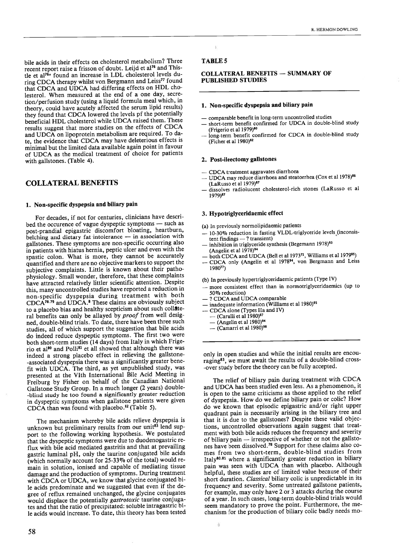bile acids in their effects on cholesterol metabolism? Three recent report raise a frisson of doubt. Leijd et al<sup>76</sup> and Thistle et al<sup>76a</sup> found an increase in LDL cholesterol levels during CDCA therapy whilst von Bergmann and Leiss<sup>77</sup> found that CDCA and UDCA had differing effects on HDL cho lesterol. When measured at the end of <sup>a</sup> one day, secre tion/perfusion study (using <sup>a</sup> iiquid formula meal which, in theory, could have acuteiy affected the serum lipid resuits) they found that CDCA iowered the leveis pf the potentialiy beneficial HDL cholesterol whiie UDCA raised them. These results suggest that more studies on the effects of CDCA and UDCA on lipoprotein metabolism are required. To da te, the evidence that CDCA may have deleterious effects is minimai but the iimited data available again point in favour of UDCA as the medical treatment of choice for patients with gallstones. (Table 4).

# COLLATERAL BENEFITS

# 1. Non-specific dyspepsia and biliary pain

For decades, if not for centuries, clinicians have descri bed the occurence of vague dyspeptic symptoms — such as post-prandial epigastric discomfort bloating, heartburn, beiching and dietary fat intolerance — in association with gallstones. These symptoms are non-specific occurring also in patients with hiatus hernia, peptic ulcer and even with the spastic colon. What is more, they cannot be accurately quantified and there are no objective markers to support the subjective complaints. Little is known about their patho physioiogy. Small wonder, therefore, that these compiaints have attracted relatively littler scientific attention. Despite this, many uncontrolied studies have reported <sup>a</sup> reduction in non-specific dyspepsia during treatment with both CDCA<sup>78.79</sup> and UDCA.<sup>8</sup> These claims are obviously subject to a placebo bias and healthy scepticism about such collateral benefits can only be allayed by *proof* from well designed, double-blind trials. To date, there have been three such studies, ail of which support the suggestion that bile acids do indeed reduce dyspeptic symptoms. The first two were both short-term studies (14 days) from Italy in which Frige rio et al<sup>80</sup> and Polli<sup>81</sup> et all showed that although there was indeed a strong placebo effect in relieving the gallstone--associated dyspepsia there was <sup>a</sup> significantiy greater bene fit with UDCA. The third, as yet unpublished study, was presented at the VIth Internationai Bile Acid Meeting in Freiburg by Fisher on behaif of the Canadian National Galistone Study Group. In <sup>a</sup> much longer (2 years) double -blind study he too found <sup>a</sup> significantly greater reduction in dyspeptic symptoms when galistone patients were given CDCA than was found with placebo.<sup>82</sup> (Table 5).

The mechanism whereby bile acids relieve dyspepsia is unknown but preliminary results from our unit<sup>83</sup> lend support to the following working hypothesis. We postulated that the dyspeptic symptoms were due to duodenogastric re flux with bile acid mediated gastritis and that at prevailing gastric luminai pH, only the taurine conjugated bile acids (which normally account for 25-33Wo of the total) would re main in solution, ionised and capable of mediating tissue damage and the production of symptoms. During treatment with CDCA or UDCA, we know that giycine conjugated bi le acids predominate and we suggested that even if the de gree of reflux remained unchanged, the glycine conjugates would displace the potentially gastrotoxic taurine conjugates and that the ratio of precipitated: soluble intragastric bi le acids would increase. To date, this theory has been tested

#### TABLE 5

#### COLLATERAL BENEFITS — SUMMARY OF PUBLISHED STUDIES

#### 1. Non-specific dyspepsia and biliary pain

- comparable benefit in long-term uncontroiled studies
- short-term benefit confirmed for UDCA in double-blind study (Frigerio et al 1979)<sup>80</sup>
- long-term benefit confirmed for CDCA in double-blind study (Ficher et al 1980)<sup>82</sup>

#### 2. Post-ileectomy galistones

- CDCA treatment aggravates diarrhoea
- UDCA may reduce diarrhoea and steatorrhea (Cox et al 1978)<sup>86</sup> (LaRusso et ai 1979)87
- dissolves radiolucent cholesterol-rich stones (LaRusso et al 1979)<sup>87</sup>

#### 3. Hypotriglyceridaemic effect

- (a) In previousiy normolipidaemic patients
- 10-30% reduction in fasting VLDL-trigiyceride leveis (inconsis tent findings —? transient)
- inhibition in triglyceride synthesis (Begemann 1978)<sup>93</sup> (Angelin et al 1978)<sup>94</sup>
- both CDCA and UDCA (Bell et al 1973 $^{71}$ , Williams et al 1979 $^{95}$ )
- CDCA only (Angelin et al 1978<sup>94</sup>, von Bergmann and Leiss 198077)

(b) In previously hypertrigiyceridaemic patients (Type IV)

- more consistent effect than in normotrigiyceridaemics (up to 50% reduction)
- ? CDCA and UDCA comparable
- inadequate information (Williams et al 1980)<sup>95</sup>
- CDCA alone (Types lia and IV)
- $-$  (Carulli et al 1980)<sup>97</sup>
- $-$  (Angelin et al 1980)<sup>94</sup>

ă

 $-$  (Camarri et al 1980)<sup>98</sup>

oniy in open studies and while the initial resuits are encou raging<sup>83</sup>, we must await the results of a double-blind cross--over study before the theory can be fully accepted.

The relief of biliary pain during treatment with CDCA and UDCA has been studied even less. As <sup>a</sup> phenomenon, it is open to the same criticisms as those applied to the relief of dyspepsia. How do we define biliary pain or colic? How do we known that episodic epigastric and/or right upper quadrant pain is necessariiy arising in the biliary tree and that it is due to the galistones? Despite these valid objec tions, uncontrolled observations again suggest that treat ment with both biie acids reduces the frequency and severity of biliary pain — irrespective of whether or not the gallsto nes have been dissoived.78 Support for these ciaims also co mes from two short-term, double-blind studies from Italy<sup>80.81</sup> where a significantly greater reduction in biliary pain was seen with UDCA than with placebo. Aithough helpful, these studies are of limited value because of their short duration. Classical biliary colic is unpredictable in its frequency and severity. Some untreated galistone patients, for example, may oniy have 2 or 3 attacks during the course of a year. In such cases, long-term double-blind trials would seem mandatory to prove the point. Furthermore, the me chanism for the production of biliary colic badly needs rno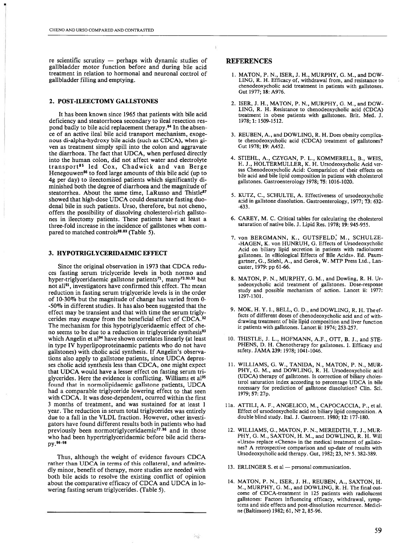re scientific scrutiny — perhaps with dynamic studies of gallbladder motor function before and during bile acid treatment in relation to hormonal and neuronal control of galibladder filling and emptying.

#### 2. POST-ILEECTOMY GALLSTONES

It has been known since 1965 that patients with bile acid deficiency and steatorrhoea secondary to ileal resection res pond badly to bile acid replacement therapy.<sup>84</sup> In the absence of an active ileal bile acid transport mechanism, exogenous di-alpha-hydroxy bile acids (such as CDCA), when gi ven as treatment simply spill into the colon and aggravate the diarrhoea. The fact that UDCA, when perfused directly into the hurnan colon, did not affect water and electrolyte transport85 led Cox, Chadwick and van Berge Henegouwen<sup>86</sup> to feed large amounts of this bile acid (up to 4g per day) to ileectomised patients which significantly di minished both the degree of diarrhoea and the magnitude of steatorrhea. About the same time, LaRusso and Thistle<sup>87</sup> showed that high-dose UDCA couid desaturate fasting duo denal bile in such patients. Urso, therefore, but not cheno, offers the possibiiity of dissolving cholesterol-rich galisto nes in ileectomy patients. These patients have at least <sup>a</sup> three-fold increase in the incidence of galistones when corn pared to matched controls<sup>88.89</sup> (Table 5).

#### 3. HYPOTRIGLYCERIDAEMIC EFFECT

Since the original observation in 1973 that CDCA redu ces fasting serum triclyceride leveis in both normo and hyper-triglyceridaemic gallstone patients<sup>71</sup>, many<sup>73.90.93</sup> but not all<sup>91</sup>, investigators have confirmed this effect. The mean reduction in fasting serum triglyceride levels is in the order of 10-30% but the magnitude of change has varied from 0- -50% in different studies. It has also been suggested that the effect may be transient and that with time the serum trigly cerides may escape from the beneficial effect of CDCA.<sup>92</sup> The mechanism for this hypotrigiyceridaemic effect of che no seems to be due to a reduction in triglyceride synthesis<sup>93</sup> which Angelin et al<sup>94</sup> have shown correlates linearly (at least in type IV hyperlipoproteinaemic patients who do not have gallstones) with cholic acid synthesis. If Angelin's observations also apply to gallstone patients, since UDCA depresses choiic acid synthesis iess than CDCA, one might expect that UDCA would have <sup>a</sup> lesser effect on fasting serum tri glycerides. Here the evidence is conflicting. Williams et al<sup>95</sup> found that in normoiipidaemic galistone patients, UDCA had <sup>a</sup> comparable triglyceride lowering effect to that seen with CDCA. It was dose-dependent, ocurred within the first 3 months of treatment, and was sustained for at ieast 1 year. The reduction in serurn total trigiycerides was entirely due to <sup>a</sup> fali in the VLDL fraction. However, other investi gators have found different resuits both in patients who had previously been normotriglyceridaemic<sup>77.96</sup> and in those who had been hypertriglyceridaemic before bile acid therapy. 96-98

Thus, although the weight of evidence favours CDCA rather than UDCA in terms of this collaterai, and admitte dly minor, benefit of therapy, more studies are needed with both bile acids to resolve the existing conflict of opinion about the comparative efficacy of CDCA and UDCA in lo wering fasting serum triglycerides. (Table 5).

# **REFERENCES**

- 1. MATON, P. N., ISER, J. H., MURPHY, O. M., and DOW LING, R. H. Efficacy of, withdrawal from, and resistance to chenodeoxycholic acid treatment in patients with gallstones. Gut 1977; 18: A976.
- 2. ISER, J. H., MATON, P. N., MURPHY, O. M., and DOW LING, R. H. Resistance to chenodeoxycholic acid (CDCA) treatment in obese patients with gallstones. Brit. Med. J. 1978; 1: 1509-1512.
- 3. REUBEN, A., and DOWUING, R. H. Does obesity complicate chenodeoxycholic acid (CDCA) treatment of gallstones? Out 1978; 19: A452.
- 4. STIEHL, A., CZYGAN, P. L., KOMMERELL, B., WEIS, H. J., HOLTERMULUER, K. H. Ursodeoxycholic Acid ver sus Chenodeoxycholic Acid: Comparision of their effects on bile acid and bile lipid composition in patiens with cholesterol gallstones. Gastroenterology 1978; 75: 1016-1020.
- 5. KUTZ, C., SCHULTE, A. Effectiveness of ursodeoxycholic acid in galistone dissolution. Gastroenterology, 1977; 73: 632- -633.
- 6. CAREY, M. C. Critical tables for calculating the cholesterol saturation of native bile. 3. Lipid Res. 1978; 19: 945-955.
- 7. von BERGMANN, K., GUTSFELD, M., SCHULZE -HAGEN, K. von HUNRUH, G. Effects of Ursodeoxycholic Acid on biliary lipid secretion in patients with radiolucent galistones. In «Biological Effects of Bile Acids». Ed. Paum gartner, O., Stiehl, A., and Gerok, W. MTP Press Ltd., Lan caster, 1979: pp 61-66.
- 8. MATON, P. N., MURPHY, O. M., and Dowling, R. H. Ur sodeoxycholic acid treatment of gallstones. Dose-response study and possible mechanism of action. Lancet ii: 1977: 1297-1301.
- 9. MOK, H. Y. 1., BELL, O. D., and DOWLING, R. H. The ef fects of different doses of chenodeoxycholic acid and of with drawing treatment of bile lipid composition and liver function in patients with gallstones. Lancet ii: 1974; 253-257.
- 10. THISTLE, J. L., HOFMANN, A.F., OTr, B. J., and STE PHENS, D. H. Chenotherapy for gallstones. 1. Efficacy and safety. JAMA 239: 1978; 1041-1046.
- 11. WILUIAMS, O. W., TANIDA, N., MATON, P. N., MUR PHY, G. M., and DOWLING, R. H. Ursodeoxycholic acid (UDCA) therapy of gallstones. Is correction of biliary cholesterol saturation index according to percentage UDCA in bile necessary for prediction of gallstone dissolution? Clin. Sci. 1979; 57: 27p.
- lia. ATTIUI, A. F., ANOELICO, M., CAPOCACCIA, P., et ai. Effect of ursodeoxycholic acid on biliary lipid composition. A double blind study. Ital. J. Gastroent. 1980; 12: 177-180.
- 12. WILLIAMS, G., MATON, P. N., MEREDITH, T. J., MUR PHY, G. M., SAXTON, H. M., and DOWLING, R. H. Will «Urso» replace «Cheno» in the medical treatment of gallsto nes? A retrospective comparison and up-date of results with Ursodeoxycholic acid therapy. Gut, 1982; 23, N? 5. 382-389.
- 13. ERLINGER S. et al personal communication.
- 14. MATON, P. N., ISER, J. H., REUBEN, A., SAXTON, H. M., MURPHY, O. M., and DOWLINO, R. H. The final out come of CDCA-treatment in 125 patients with radiolucent gallstones: Factors influencing efficacy, withdrawal, symp toms and side effects and post-dissolution recurrence. Medici ne (Baltimore) 1982; 61, N? 2,85-96.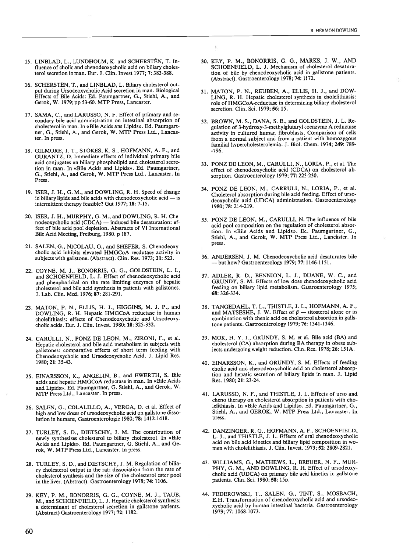- 15. LINBLAD, L., LUNDHOLM, K. and SCHERSTÉN, T. In fluence of cholic and chenodeoxycholic acid on biliary choles terol secretion in man. Eur. J. Clin. Invest 1977; 7: 383-388.
- 16. SCHERSTÉN, T., and LINBLAD, L. Biliary cholesterol out put during Ursodeoxycholic Acid secretion in man. Biological Effects of Bile Acids: Ed. Paumgartner, O., Stiehl, A., and Gerok, W. 1979; pp 53-60. MTP Press, Lancaster.
- 17. SAMA, C., and LARUSSO, N. F. Effect of primary and se condary bile acid administration on intestinal absorption of cholesterol in man. In «Bile Acids ans Lipids». Ed. Paumgart ner, O., Stiehl, A., and Gerok, W. MTP Press Ltd., Lancas ter. In press.
- 18. GILMORE, 1. T., STOKES, K. S., HOFMANN, A. F., and GURANTZ, D. Immediate effects of individual primary bile acid conjugates on biliary phospholipid and cholesterol secre tion in man. In «Bile Acids and Lipids». Ed. Paumgartner, G., Stiehl, A., and Gerok, W. MTP Press Ltd., Lancaster. In Press.
- 19. ISER, J. H., G. M., and DOWLING, R. H. Speed of change in biliary lipids and bile acids with chenodeoxycholic acid — is intermittent therapy feasible? Gut 1977; 18: 7-15.
- 20. ISER, J. H., MURPHY, O. M., and DOWLING, R. H. Che nodeoxycholic acid (CDCA) — induced bile desaturation: ef fect of bile acid pool depletion. Abstracts of VI International Bile Acid Meeting, Freiburg, 1980. p 187.
- 21. SALEN, G., NICOLAU, G., and SHEFER, S. Chenodeoxy cholic acid inhibits elevated HMGCoA recdutase activity in subjects with gallstone. (Abstract). Clin. Res. 1973; 21: 523.
- 22. COYNE, M. J., BONORRIS, G. O., GOLDSTEIN, L. 1., and SCHOENFIELD, L. J. Effect of chenodeoxycholic acid and phenpbarbital on the rate limiting enzymes of hepatic cholesterol and bile acid synthesis in patients with galistones. J. Lab. Clin. Mcd. 1976; 87: 281-291.
- 23. MATON, P. N., ELLIS, H. J., HIOGINS, M. J. P., and DOWLINO, R. H. Hepatic HMGCoA reductase in human cholelithiasis: effects of Chenodeoxycholic and Ursodeoxy cholicacids. Eur. J. Clin. Invest. 1980; 10: 325-332.
- 24. CARULLI, N., PONZ DE LEON, M., ZIRONI, F., et al. Hepatic cholesterol and bile acid metabolism in subjects with gallstones: comparative effects of short term feeding with Chenodeoxycholic and Ursodeoxycholic Acid. J. Lipid Res. 1980; 21: 35-43.
- 25. EINARSSON, K., ANGELIN, B., and EWERTH, 5. Bile acids and hepatic HMGC0A reductase in man. In «Bile Acids and Lipids». Ed. Paumgartner, G. Stiehl, A., and Gerok, W. MTP Press Ltd., Lancaster. In press.
- 26. SALEN, O., COLALILLO, A., VERGA, D. et al. Effect of high and low doses of ursodeoxycholic acid on gallstone disso lution in humans, Gastroenterologie 1980; 78: 1412-1418.
- 27. TURLEY, S. D., DIETSCHY, J. M. The contribution of newly synthesizes cholesterol to biliary cholesterol. In «Bile Acids and Lipids». Ed. Paumgartner, G. Stiehl, A., and Ge rok, W. MTP Press Ltd., Lancaster. In press.
- 28. TURLEY, S. D., and DIETSCHY, J. M. Regulation of bilia ry cholesterol output in the rat: dissociation from the rate of cholesterol synthesis and the size of the cholesterol ester pooi in the liver. (Abstract). Gastroenterology 1978; 74: 1106.
- 29. KEY, P. M., BONORRIS, G. G., COYNE, M. J., TAUB, M., and SCHOENFIELD, L. J. Hepatic cholesterol synthesis: <sup>a</sup> determinant of cholesterol seeretion in galistone patients. (Abstract) Gastroenterology 1977; 72: 1182.

30. KEY, P. M., BONORRIS, O. G., MARKS, J. W., AND SCHOENFIELD, L. J. Mechanism of cholesterol desaturation of bile by chenodeoxycholic acid in gallstone patients. (Abstract). Oastroenterology 1978; 74: 1172.

 $\bar{\psi}$ 

- 31. MATON, P. N., REUBEN, A., ELLIS, H. J., and DOW LINO, R. H. Hepatic cholesterol synthesis in cholelithiasis: role of HMGCoA-reductase in determining biliary cholesterol secretion. Clin. Sci. 1979; 56: 15.
- 32. BROWN, M. S., DANA, S. E., and GOLDSTEIN, J. L. Re gulation of 3-hydroxy-3-methylglutaryl coenzyme A reductase activity in cultured human fibroblasts. Comparison of cells from <sup>a</sup> normal subject and from <sup>a</sup> patient with homozygous familial hypercholesterolemia. 3. Biol. Chem. 1974; 249: 789- -796.
- 33. PONZ DE LEON, M., CARULLI, N., LORIA, P., et al. The effect of chenodeoxycholic acid (CDCA) on cholesterol ab sorption. Oastroenterology 1979; 77: 223-230.
- 34. PONZ DE LEON, M., CARRULI, N., LORIA, P., et al. Choleterol absorption during bile acid feeding. Effect of urso deoxycholic acid (UDCA) administration. Gastroenterology 1980; 78: 214-219.
- 35. PONZ DE LEON, M., CARULLI, N. The influence of bile acid pool composition on the regulation of cholesterol absor tion. In «Bile Acids and Lipids». Ed. Paumgartner, O., Stiehl, A., and Gerok, W. MTP Press Ltd., Lancaster. In press.
- 36. ANDERSEN, J. M. Chenodeoxycholic acid desaturates bile — but how? Gastroenterology 1979; 77: 1146-1151.
- 37. ADLER, R. D., BENNION, L. 3., DUANE, W. C., and ORUNDY, 5. M. Effects of low dose chenodeoxycholic acid feeding on biliary lipid metabolism. Oastroenterology 1975; 68: 326-334.
- 38. TANGEDAHL, T. L., THISTLE, J. L., HOFMANN, A. F., and MATSESHE, J. W. Effect of  $\beta$  sitosterol alone or in combination with chenic acid on cholesterol absortion in galls tone patients. Oastroenterology 1979; 76: 1341-1346.
- 39. MOK, H. Y. 1., ORUNDY, 5. M. et al. Bile acid (BA) and cholesterol (CÁ) absorption during BA therapy in obese sub jects undergoing weight reduction. Clin. Res. 1978; 26: 15 lA.
- 40. EINARSSON, K., and ORUNDY, S. M. Effects of feeding cholic acid and chenodeoxycholic acid on cholesterol absorp tion and hepatic secretion of biliary lipids in man. J. Lipid Res. 1980; 21: 23-24.
- 41. LARUSSO, N. F., and THISTLE, J. L. Effects of urso and cheno therapy on cholesterol absorption in patients with cho lelithiasis. In «Bile Acids and Lipids». Ed. Paumgartner, O., Stiehl, A., and OEROK, W. MTP Press Ltd., Lancaster. In press.
- 42. DANZINGER, R. O., HOFMANN, A. F., SCHOENFIELD, L. J., and THISTLE, J. L. Effects of oral chenodeoxycholic acid on bile acid kinetics and biliary lipid composition in wo men with cholelithiasis. J. Clin. Invest. 1973; 52: 2809-2821.
- 43. WILLIAMS, O., MATHEWS, L., BREUER, N. F., MUR PHY, G. M., AND DOWLING, R. H. Effect of ursodeoxycholic acid (UDCA) on primary bile acid kinetics in galistone patients. Clin. Sei. 1980; 58: 15p.
- 44. FEDEROWSKI, T., SALEN, O., TINT, 5., MOSBACH, E.H. Transformation of chenodeoxycholic acid and ursodeo xycholic acid by human intestinal bacteria. Oastroenterology 1979; 77: 1068-1073.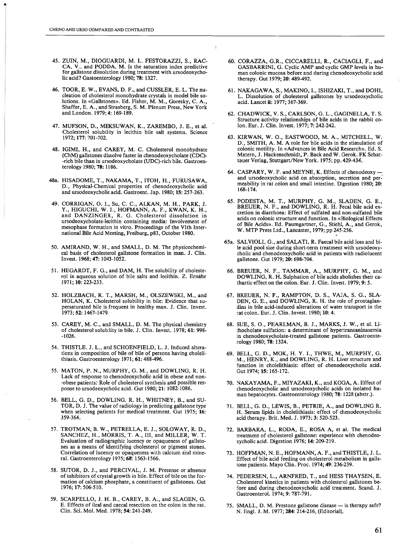- 45. ZUIN, M., DIOGUARDI, M. L. FESTORAZZI, S., RAC CA, V., and PODDA, M. Is the saturation index predictive for gallstone dissolution during treatment with ursodeoxycholic acid? Gastoenterology 1980; 78: 1327.
- 46. TOOR, E. W., EVANS, D. F., and CUSSLER, E. L. The nu cleation of cholesterol monohydrate crystals in model bile so lutions. In «Galistones». Ed. Fisher, M. M., Goresky, C. A., Shaffer, E. A., and Strasberg, S. M. Pienum Press, New York and London. 1979; 4: 169-189.
- 47. MUFSON, D., MEKSUWAN, K., ZAREMBO, J. E., et ai. Choiesteroi solubility in iecithin biie salt systems. Science 1972; 177: 701-702.
- 48. IGIMI, H., and CAREY, M. C. Cholesterol monohydrate (ChM) galistones dissolve faster in chenodeoxycholate (CDC) -rich bile than in ursodeoxycholate (UDC)-rich bile. Gastroen terology 1980; 78: 1186.
- 48a. HISADOME, T., NAKAMA, T., ITOH, H., FURUSAWA, D., Physical-Chemical properties of chenodeoxycholic acid and ursodeoxycholic acid. Gastroent. Jap. 1980; 15: 257-263.
- 49. CORRIGAN, O. 1., Su, C. C., ALKAN, M. H., PARK, J. Y., HIGUCHI, W. 1., HOFMANN, A. F., KWAN, K. H., and DANZINGER, R. G. Cholesterol dissolution in ursodeoxycholate-lecithin containing media: Involvement of mesophase formation in vitro. Proceedings of the VIth Inter national Bile Acid Meeting, Freiburg, p83, October 1980.
- 50. AMIRAND, W. H., and SMALL, D. M. The physicochemi cal basis of cholesterol galistone formation in man. J. Clin. Invest. 1968; 47: 1043-1052.
- 51. HEGARDT, F. G., and DAM, H. The solubility of choleste rol in aqueous solution of bile salts and lecithin. Z. Ernahr 1971; 10: 223-233.
- 52. HOLZBACH, R. T., MARSH, M., OLSZEWSKI, M., and HOLAN, K. Cholesterol solubility in bile: Evidence that su persaturated bile is frequent in healthy man. J. Clin. Invest. 1973; 52: 1467-1479.
- 53. CAREY, M. C., and SMALL, D. M. The physical chemistry of cholesterol solubility in bile. J. Clin. Invest. 1978; 61: 998- -1026.
- 54. THISTLE. J. L., and SCHOENFIELD, L. J. Induced altera tions in composition of hile of bile of persons having choleli thiasis. Gastroenterology 1971; 61: 488-496.
- 55. MATON, P. N., MURPHY, G. M., and DOWLING, R. H. Lack of response to chenodeoxycholic acid in obese and non -obese patients: Role of cholesterol synthesis and possible res ponse to ursodeoxycholic acid. Gut 1980; 21: 1082-1086.
- 56. BELL, G. D., DOWLING. R. H., WHITNEY, B., and SU TOR, D. J. The value of radiology in predicting galistone type when selecting patients for medical treatment. Gut 1975; 16: 359-364.
- 57. TROTMAN, B. W., PETRELLA, E. J., SOLOWAY, R. D., SANCHEZ, H., MORRIS, T. A., III, and MILLER, W. T. Evaluation of radiographic lucency or opaqueness of gallsto nes as <sup>a</sup> means of identifying cholesterol or pigment stones. Correlation of lucency or opaqueness with calcium and mine ral. Gastroenterology 1975; 6g: 1563-1566.
- 58. SUTOR, D. J., and PERCIVAL, J. M. Presense or absence of inhibitors of crystal growth in bile. Effect of bile on the for mation of calcium phosphate, <sup>a</sup> constituent of gallstones. Gut 1976; 17: 506-5 10.
- 59. SCARPELLO, J. H. B., CAREY, B. A., and SLAGEN, G. E. Effects of ileal and caecal resection on the colon in the rat. Clin. Sci. Moi. Med. 1978; 54: 241-249.
- 60. CORAZZA, G.R., CICCARELLI, R., CACIAGLI, F., and GASBARRINI, G. Cyclic AMP and cyclic GMP leveis in hu man colonic mucosa before and during chenodeoxycholic acid therapy. Gut 1979; 20: 489-492.
- 61. NAKAGAWA, S., MAKINO, 1., ISHIZAKI, T., and DOHI, L. Dissolution of cholesterol gallstones by ursodeoxycholic acid. Lancet ii: 1977; 367-369.
- 62. CHADWICK, V. S., CARLSON, G. L., GAGINELLA, T. S. Structure activity relationships of bile acids in the rabbit co lon. Eur. J. Clin. Invest. 1977; 7: 242-242.
- 63. KIRWAN, W. O., EASTWOOD, M. A., MITCHELL, W. D., SMITH, A. M. A role for bile acids in the stimulation of colonic motility. In «Advances in Bile Acid Research». Ed. S. Matem, J. Hackenschmidt, P. Back and W. Gerok. FK Schat tauer Verlag, Stuttgart/New York. 1975; pp. 429-434.
- 64. CASPARY, W. F. and MEYNE, K. Effects of chenodeoxy and ursodeoxycholic acid on absorption, secretion and per meability in rat colon and small intestine. Digestion 1980; 20: 168-174.
- 65. PODESTA, M. T., MURPHY, G. M., SLADEN, G. E., BREUER, N. F., and DOWLING, R. H. Fecal bile acid ex cretion in diarrhoea: Effect of sulfated and non-sulfated bile acids on colonic structure and function. In «Biological Effects of Bile Acids». Ed. Paumgartner, G., Stiehl, A., and Gerok, W. MTP Press Ltd., Lancaster, 1979; pp 245-256.
- 65a. SALVIOLI, G., and SALATI, R. Faecal bile acid loss and bi le acid pool size during short-term treatment with ursodeoxycholic and chenodeoxycholic acid in patients with radiolucent gallstone. Gut 1979; 20: 698-704.
- 66. BREUER, N. F., TAMMAR, A., MURPHY, G. M., and DOWLING, R. H. Sulphation of bile acids abolishes their ca thartic effect on the colon. Eur. J. Clin. Invest. 1979; 9: 5.
- 67. BREUER, N. F., RAMPTON, D. S., VAJA, S. G., SLA DEN, G. E., and DOWLING, R. H. the role of prostaglandins in bile acid-induced alterations of water transport in the rat colon. Eur. J. Clin. Invest. 1980; 10: 4.
- 68. SUE, 5. O., PEARLMAN, B. J., MARKS, J. W., et ai. Li thocholate sulfation: <sup>a</sup> determinant of hypertransaninasemia in chenodeoxycholate-treated gailstone patients. Gastroente rology 1980; 78: 1324.
- 69. BELL, O. D., MOK, H. Y. 1., THWE, M., MURPHY, G. M., HENRY, K., and DOWLING, R. H. Liver structure and function in cholelithiasis: effect of chenodeoxycholic acid. Gut 1974; 15: 165-172.
- 70. NAKAYAMA, F., MIYAZAKI, K., and KOGA, A. Effect of chenodeoxycholic and ursodeoxychoiic acids on isolated hu man hepatocytes. Gastroenterology 1980; 78: 1228 (abstr.).
- 71. BELL, O. D., LEWIS, B., PETRIE, A., and DOWLING R. H. Serum lipids in cholelithiasis: effect of chenodeoxycholic acid therapy. Brit. Med. J. 1973; 3: 520-523.
- 72. BARBARA, L., RODA, E., ROSA A, et ai. The medical treatment of cholesterol gallstone: experience with chenodeo xycholic acid. Digestion 1976; 14: 209-219.
- 73. HOFFMAN, N. E., HOFMANN, A. F., and THISTLE, J. L. Effect of bile acid feeding on cholesterol metabolism in galls tone patients. Mayo Clin. Proc. 1974; 49: 236-239.
- 74. PEDERSEN, L., ARNFRED, T., and HESS THAYSEN, E. Cholesterol kinetics in patients with cholesterol gallstones be fore and during chenodeoxycholic acid treatment. Scand. J. Gastroenterol. 1974; 9: 787-791.
- 75. SMALL, D. M. Prestone gallstone disease is therapy safe? N. Engi. J. M. 1977; 284: 214-216, (Editorial).